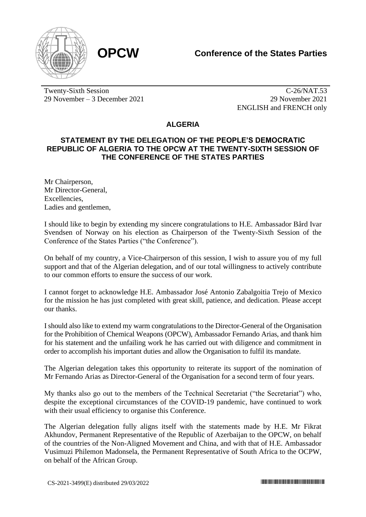

Twenty-Sixth Session 29 November – 3 December 2021

C-26/NAT.53 29 November 2021 ENGLISH and FRENCH only

## **ALGERIA**

## **STATEMENT BY THE DELEGATION OF THE PEOPLE'S DEMOCRATIC REPUBLIC OF ALGERIA TO THE OPCW AT THE TWENTY-SIXTH SESSION OF THE CONFERENCE OF THE STATES PARTIES**

Mr Chairperson, Mr Director-General, Excellencies, Ladies and gentlemen,

I should like to begin by extending my sincere congratulations to H.E. Ambassador Bård Ivar Svendsen of Norway on his election as Chairperson of the Twenty-Sixth Session of the Conference of the States Parties ("the Conference").

On behalf of my country, a Vice-Chairperson of this session, I wish to assure you of my full support and that of the Algerian delegation, and of our total willingness to actively contribute to our common efforts to ensure the success of our work.

I cannot forget to acknowledge H.E. Ambassador José Antonio Zabalgoitia Trejo of Mexico for the mission he has just completed with great skill, patience, and dedication. Please accept our thanks.

I should also like to extend my warm congratulations to the Director-General of the Organisation for the Prohibition of Chemical Weapons (OPCW), Ambassador Fernando Arias, and thank him for his statement and the unfailing work he has carried out with diligence and commitment in order to accomplish his important duties and allow the Organisation to fulfil its mandate.

The Algerian delegation takes this opportunity to reiterate its support of the nomination of Mr Fernando Arias as Director-General of the Organisation for a second term of four years.

My thanks also go out to the members of the Technical Secretariat ("the Secretariat") who, despite the exceptional circumstances of the COVID-19 pandemic, have continued to work with their usual efficiency to organise this Conference.

The Algerian delegation fully aligns itself with the statements made by H.E. Mr Fikrat Akhundov, Permanent Representative of the Republic of Azerbaijan to the OPCW, on behalf of the countries of the Non-Aligned Movement and China, and with that of H.E. Ambassador Vusimuzi Philemon Madonsela, the Permanent Representative of South Africa to the OCPW, on behalf of the African Group.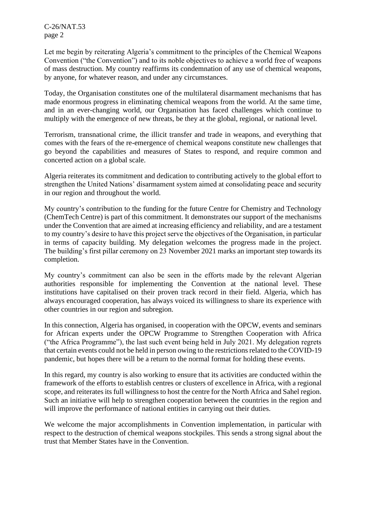C-26/NAT.53 page 2

Let me begin by reiterating Algeria's commitment to the principles of the Chemical Weapons Convention ("the Convention") and to its noble objectives to achieve a world free of weapons of mass destruction. My country reaffirms its condemnation of any use of chemical weapons, by anyone, for whatever reason, and under any circumstances.

Today, the Organisation constitutes one of the multilateral disarmament mechanisms that has made enormous progress in eliminating chemical weapons from the world. At the same time, and in an ever-changing world, our Organisation has faced challenges which continue to multiply with the emergence of new threats, be they at the global, regional, or national level.

Terrorism, transnational crime, the illicit transfer and trade in weapons, and everything that comes with the fears of the re-emergence of chemical weapons constitute new challenges that go beyond the capabilities and measures of States to respond, and require common and concerted action on a global scale.

Algeria reiterates its commitment and dedication to contributing actively to the global effort to strengthen the United Nations' disarmament system aimed at consolidating peace and security in our region and throughout the world.

My country's contribution to the funding for the future Centre for Chemistry and Technology (ChemTech Centre) is part of this commitment. It demonstrates our support of the mechanisms under the Convention that are aimed at increasing efficiency and reliability, and are a testament to my country's desire to have this project serve the objectives of the Organisation, in particular in terms of capacity building. My delegation welcomes the progress made in the project. The building's first pillar ceremony on 23 November 2021 marks an important step towards its completion.

My country's commitment can also be seen in the efforts made by the relevant Algerian authorities responsible for implementing the Convention at the national level. These institutions have capitalised on their proven track record in their field. Algeria, which has always encouraged cooperation, has always voiced its willingness to share its experience with other countries in our region and subregion.

In this connection, Algeria has organised, in cooperation with the OPCW, events and seminars for African experts under the OPCW Programme to Strengthen Cooperation with Africa ("the Africa Programme"), the last such event being held in July 2021. My delegation regrets that certain events could not be held in person owing to the restrictions related to the COVID-19 pandemic, but hopes there will be a return to the normal format for holding these events.

In this regard, my country is also working to ensure that its activities are conducted within the framework of the efforts to establish centres or clusters of excellence in Africa, with a regional scope, and reiterates its full willingness to host the centre for the North Africa and Sahel region. Such an initiative will help to strengthen cooperation between the countries in the region and will improve the performance of national entities in carrying out their duties.

We welcome the major accomplishments in Convention implementation, in particular with respect to the destruction of chemical weapons stockpiles. This sends a strong signal about the trust that Member States have in the Convention.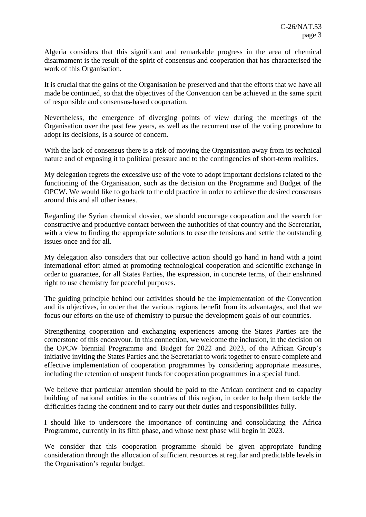Algeria considers that this significant and remarkable progress in the area of chemical disarmament is the result of the spirit of consensus and cooperation that has characterised the work of this Organisation.

It is crucial that the gains of the Organisation be preserved and that the efforts that we have all made be continued, so that the objectives of the Convention can be achieved in the same spirit of responsible and consensus-based cooperation.

Nevertheless, the emergence of diverging points of view during the meetings of the Organisation over the past few years, as well as the recurrent use of the voting procedure to adopt its decisions, is a source of concern.

With the lack of consensus there is a risk of moving the Organisation away from its technical nature and of exposing it to political pressure and to the contingencies of short-term realities.

My delegation regrets the excessive use of the vote to adopt important decisions related to the functioning of the Organisation, such as the decision on the Programme and Budget of the OPCW. We would like to go back to the old practice in order to achieve the desired consensus around this and all other issues.

Regarding the Syrian chemical dossier, we should encourage cooperation and the search for constructive and productive contact between the authorities of that country and the Secretariat, with a view to finding the appropriate solutions to ease the tensions and settle the outstanding issues once and for all.

My delegation also considers that our collective action should go hand in hand with a joint international effort aimed at promoting technological cooperation and scientific exchange in order to guarantee, for all States Parties, the expression, in concrete terms, of their enshrined right to use chemistry for peaceful purposes.

The guiding principle behind our activities should be the implementation of the Convention and its objectives, in order that the various regions benefit from its advantages, and that we focus our efforts on the use of chemistry to pursue the development goals of our countries.

Strengthening cooperation and exchanging experiences among the States Parties are the cornerstone of this endeavour. In this connection, we welcome the inclusion, in the decision on the OPCW biennial Programme and Budget for 2022 and 2023, of the African Group's initiative inviting the States Parties and the Secretariat to work together to ensure complete and effective implementation of cooperation programmes by considering appropriate measures, including the retention of unspent funds for cooperation programmes in a special fund.

We believe that particular attention should be paid to the African continent and to capacity building of national entities in the countries of this region, in order to help them tackle the difficulties facing the continent and to carry out their duties and responsibilities fully.

I should like to underscore the importance of continuing and consolidating the Africa Programme, currently in its fifth phase, and whose next phase will begin in 2023.

We consider that this cooperation programme should be given appropriate funding consideration through the allocation of sufficient resources at regular and predictable levels in the Organisation's regular budget.